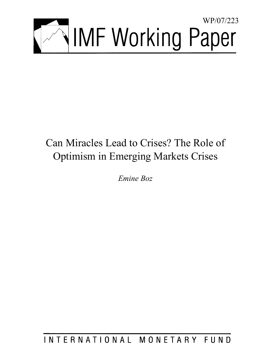

# Can Miracles Lead to Crises? The Role of Optimism in Emerging Markets Crises

*Emine Boz* 

INTERNATIONAL MONETARY FUND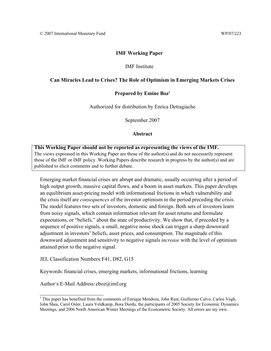## **IMF Working Paper**

#### IMF Institute

## **Can Miracles Lead to Crises? The Role of Optimism in Emerging Markets Crises**

#### **Prepared by Emine Boz1**

Authorized for distribution by Enrica Detragiache

September 2007

#### **Abstract**

## **This Working Paper should not be reported as representing the views of the IMF.** The views expressed in this Working Paper are those of the author(s) and do not necessarily represent those of the IMF or IMF policy. Working Papers describe research in progress by the author(s) and are published to elicit comments and to further debate.

Emerging market financial crises are abrupt and dramatic, usually occurring after a period of high output growth, massive capital flows, and a boom in asset markets. This paper develops an equilibrium asset-pricing model with informational frictions in which vulnerability and the crisis itself are *consequences* of the investor optimism in the period preceding the crisis. The model features two sets of investors, domestic and foreign. Both sets of investors learn from noisy signals, which contain information relevant for asset returns and formulate expectations, or "beliefs," about the state of productivity. We show that, if preceded by a sequence of positive signals, a small, negative noise shock can trigger a sharp downward adjustment in investors' beliefs, asset prices, and consumption. The magnitude of this downward adjustment and sensitivity to negative signals *increase* with the level of optimism attained prior to the negative signal.

JEL Classification Numbers: F41, D82, G15

Keywords: financial crises, emerging markets, informational frictions, learning

Author's E-Mail Address: eboz@imf.org

 $\overline{a}$ 

<sup>&</sup>lt;sup>1</sup> This paper has benefited from the comments of Enrique Mendoza, John Rust, Guillermo Calvo, Carlos Vegh, John Shea, Carol Osler, Laura Veldkamp, Bora Durdu, the participants of 2005 Society for Economic Dynamics Meetings, and 2006 North American Winter Meetings of the Econometric Society. All errors are my own.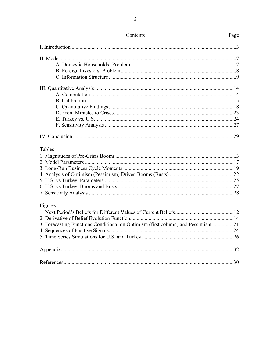| Tables                                                                           |  |
|----------------------------------------------------------------------------------|--|
|                                                                                  |  |
|                                                                                  |  |
|                                                                                  |  |
|                                                                                  |  |
|                                                                                  |  |
|                                                                                  |  |
|                                                                                  |  |
|                                                                                  |  |
| Figures                                                                          |  |
|                                                                                  |  |
|                                                                                  |  |
| 3. Forecasting Functions Conditional on Optimism (first column) and Pessimism 21 |  |
|                                                                                  |  |
|                                                                                  |  |
|                                                                                  |  |
|                                                                                  |  |
|                                                                                  |  |
|                                                                                  |  |
|                                                                                  |  |

## Contents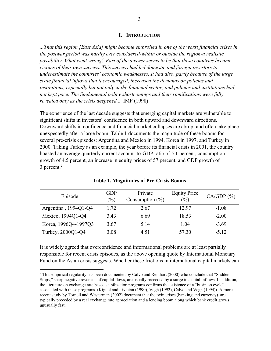#### **I. INTRODUCTION**

*...That this region [East Asia] might become embroiled in one of the worst financial crises in the postwar period was hardly ever considered-within or outside the region-a realistic possibility. What went wrong? Part of the answer seems to be that these countries became victims of their own success. This success had led domestic and foreign investors to underestimate the countries' economic weaknesses. It had also, partly because of the large scale financial inflows that it encouraged, increased the demands on policies and institutions, especially but not only in the financial sector; and policies and institutions had not kept pace. The fundamental policy shortcomings and their ramifications were fully revealed only as the crisis deepened...* IMF (1998)

The experience of the last decade suggests that emerging capital markets are vulnerable to significant shifts in investors' confidence in both upward and downward directions. Downward shifts in confidence and financial market collapses are abrupt and often take place unexpectedly after a large boom. Table 1 documents the magnitude of these booms for several pre-crisis episodes: Argentina and Mexico in 1994, Korea in 1997, and Turkey in 2000. Taking Turkey as an example, the year before its financial crisis in 2001, the country boasted an average quarterly current account-to-GDP ratio of 5.1 percent, consumption growth of 4.5 percent, an increase in equity prices of 57 percent, and GDP growth of 3 percent.<sup>2</sup>

| <b>GDP</b> | Private | <b>Equity Price</b> | $CA/GDP$ (%) |
|------------|---------|---------------------|--------------|
| 1.72       | 2.67    | 12.97               | $-1.08$      |
| 3.43       | 6.69    | 18.53               | $-2.00$      |
| 3.67       | 5.14    | 1.04                | $-3.69$      |
| 3.08       | 4.51    | 57.30               | $-5.12$      |
|            | $(\%)$  | Consumption $(\% )$ | $(\%)$       |

#### **Table 1. Magnitudes of Pre-Crisis Booms**

It is widely agreed that overconfidence and informational problems are at least partially responsible for recent crisis episodes, as the above opening quote by International Monetary Fund on the Asian crisis suggests. Whether these frictions in international capital markets can

<sup>&</sup>lt;sup>2</sup> This empirical regularity has been documented by Calvo and Reinhart (2000) who conclude that "Sudden" Stops," sharp negative reversals of capital flows, are usually preceded by a surge in capital inflows. In addition, the literature on exchange rate based stabilization programs confirms the existence of a "business cycle" associated with these programs. (Kiguel and Liviatan (1990), Vegh (1992), Calvo and Vegh (1994)). A more recent study by Tornell and Westerman (2002) document that the twin crises (banking and currency) are typically preceded by a real exchange rate appreciation and a lending boom along which bank credit grows unusually fast.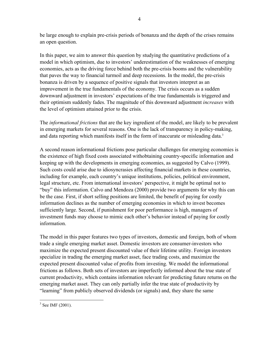be large enough to explain pre-crisis periods of bonanza and the depth of the crises remains an open question.

In this paper, we aim to answer this question by studying the quantitative predictions of a model in which optimism, due to investors' underestimation of the weaknesses of emerging economies, acts as the driving force behind both the pre-crisis booms and the vulnerability that paves the way to financial turmoil and deep recessions. In the model, the pre-crisis bonanza is driven by a sequence of positive signals that investors interpret as an improvement in the true fundamentals of the economy. The crisis occurs as a sudden downward adjustment in investors' expectations of the true fundamentals is triggered and their optimism suddenly fades. The magnitude of this downward adjustment *increases* with the level of optimism attained prior to the crisis.

The *informational frictions* that are the key ingredient of the model, are likely to be prevalent in emerging markets for several reasons. One is the lack of transparency in policy-making, and data reporting which manifests itself in the form of inaccurate or misleading data.<sup>3</sup>

A second reason informational frictions pose particular challenges for emerging economies is the existence of high fixed costs associated withobtaining country-specific information and keeping up with the developments in emerging economies, as suggested by Calvo (1999). Such costs could arise due to idiosyncrasies affecting financial markets in these countries, including for example, each country's unique institutions, policies, political environment, legal structure, etc. From international investors' perspective, it might be optimal not to "buy" this information. Calvo and Mendoza (2000) provide two arguments for why this can be the case. First, if short selling positions are limited, the benefit of paying for costly information declines as the number of emerging economies in which to invest becomes sufficiently large. Second, if punishment for poor performance is high, managers of investment funds may choose to mimic each other's behavior instead of paying for costly information.

The model in this paper features two types of investors, domestic and foreign, both of whom trade a single emerging market asset. Domestic investors are consumer-investors who maximize the expected present discounted value of their lifetime utility. Foreign investors specialize in trading the emerging market asset, face trading costs, and maximize the expected present discounted value of profits from investing. We model the informational frictions as follows. Both sets of investors are imperfectly informed about the true state of current productivity, which contains information relevant for predicting future returns on the emerging market asset. They can only partially infer the true state of productivity by "learning" from publicly observed dividends (or signals) and, they share the same

 $3$  See IMF (2001).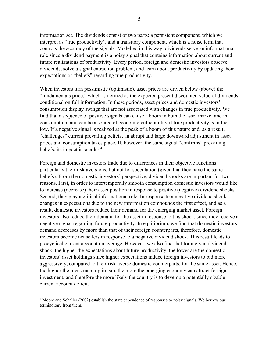information set. The dividends consist of two parts: a persistent component, which we interpret as "true productivity", and a transitory component, which is a noise term that controls the accuracy of the signals. Modelled in this way, dividends serve an informational role since a dividend payment is a noisy signal that contains information about current and future realizations of productivity. Every period, foreign and domestic investors observe dividends, solve a signal extraction problem, and learn about productivity by updating their expectations or "beliefs" regarding true productivity.

When investors turn pessimistic (optimistic), asset prices are driven below (above) the "fundamentals price," which is defined as the expected present discounted value of dividends conditional on full information. In these periods, asset prices and domestic investors' consumption display swings that are not associated with changes in true productivity. We find that a sequence of positive signals can cause a boom in both the asset market and in consumption, and can be a source of economic vulnerability if true productivity is in fact low. If a negative signal is realized at the peak of a boom of this nature and, as a result, "challenges" current prevailing beliefs, an abrupt and large downward adjustment in asset prices and consumption takes place. If, however, the same signal "confirms" prevailing beliefs, its impact is smaller.<sup>4</sup>

Foreign and domestic investors trade due to differences in their objective functions particularly their risk aversions, but not for speculation (given that they have the same beliefs). From the domestic investors' perspective, dividend shocks are important for two reasons. First, in order to intertemporally smooth consumption domestic investors would like to increase (decrease) their asset position in response to positive (negative) dividend shocks. Second, they play a critical informational role. In response to a negative dividend shock, changes in expectations due to the new information compounds the first effect, and as a result, domestic investors reduce their demand for the emerging market asset. Foreign investors also reduce their demand for the asset in response to this shock, since they receive a negative signal regarding future productivity. In equilibrium, we find that domestic investors' demand decreases by more than that of their foreign counterparts, therefore, domestic investors become net sellers in response to a negative dividend shock. This result leads to a procyclical current account on average. However, we also find that for a given dividend shock, the higher the expectations about future productivity, the lower are the domestic investors' asset holdings since higher expectations induce foreign investors to bid more aggressively, compared to their risk-averse domestic counterparts, for the same asset. Hence, the higher the investment optimism, the more the emerging economy can attract foreign investment, and therefore the more likely the country is to develop a potentially sizable current account deficit.

 $\overline{a}$ 

<sup>&</sup>lt;sup>4</sup> Moore and Schaller (2002) establish the state dependence of responses to noisy signals. We borrow our terminology from them.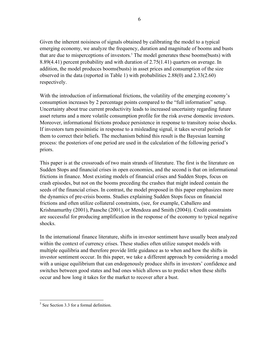Given the inherent noisiness of signals obtained by calibrating the model to a typical emerging economy, we analyze the frequency, duration and magnitude of booms and busts that are due to misperceptions of investors.<sup>5</sup> The model generates these booms(busts) with 8.89(4.41) percent probability and with duration of 2.75(1.41) quarters on average. In addition, the model produces booms(busts) in asset prices and consumption of the size observed in the data (reported in Table 1) with probabilities 2.88(0) and 2.33(2.60) respectively.

With the introduction of informational frictions, the volatility of the emerging economy's consumption increases by 2 percentage points compared to the "full information" setup. Uncertainty about true current productivity leads to increased uncertainty regarding future asset returns and a more volatile consumption profile for the risk averse domestic investors. Moreover, informational frictions produce persistence in response to transitory noise shocks. If investors turn pessimistic in response to a misleading signal, it takes several periods for them to correct their beliefs. The mechanism behind this result is the Bayesian learning process: the posteriors of one period are used in the calculation of the following period's priors.

This paper is at the crossroads of two main strands of literature. The first is the literature on Sudden Stops and financial crises in open economies, and the second is that on informational frictions in finance. Most existing models of financial crises and Sudden Stops, focus on crash episodes, but not on the booms preceding the crashes that might indeed contain the seeds of the financial crises. In contrast, the model proposed in this paper emphasizes more the dynamics of pre-crisis booms. Studies explaining Sudden Stops focus on financial frictions and often utilize collateral constraints, (see, for example, Caballero and Krishnamurthy (2001), Paasche (2001), or Mendoza and Smith (2004)). Credit constraints are successful for producing amplification in the response of the economy to typical negative shocks.

In the international finance literature, shifts in investor sentiment have usually been analyzed within the context of currency crises. These studies often utilize sunspot models with multiple equilibria and therefore provide little guidance as to when and how the shifts in investor sentiment occcur. In this paper, we take a different approach by considering a model with a unique equilibrium that can endogenously produce shifts in investors' confidence and switches between good states and bad ones which allows us to predict when these shifts occur and how long it takes for the market to recover after a bust.

 $5$  See Section 3.3 for a formal definition.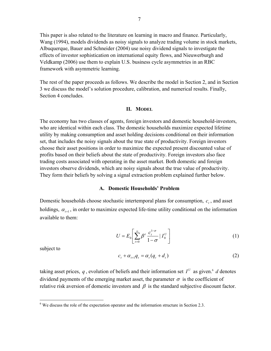This paper is also related to the literature on learning in macro and finance. Particularly, Wang (1994), models dividends as noisy signals to analyze trading volume in stock markets, Albuquerque, Bauer and Schneider (2004) use noisy dividend signals to investigate the effects of investor sophistication on international equity flows, and Nieuwerburgh and Veldkamp (2006) use them to explain U.S. business cycle asymmetries in an RBC framework with asymmetric learning.

The rest of the paper proceeds as follows. We describe the model in Section 2, and in Section 3 we discuss the model's solution procedure, calibration, and numerical results. Finally, Section 4 concludes.

#### **II. MODEL**

The economy has two classes of agents, foreign investors and domestic household-investors, who are identical within each class. The domestic households maximize expected lifetime utility by making consumption and asset holding decisions conditional on their information set, that includes the noisy signals about the true state of productivity. Foreign investors choose their asset positions in order to maximize the expected present discounted value of profits based on their beliefs about the state of productivity. Foreign investors also face trading costs associated with operating in the asset market. Both domestic and foreign investors observe dividends, which are noisy signals about the true value of productivity. They form their beliefs by solving a signal extraction problem explained further below.

## **A. Domestic Households' Problem**

Domestic households choose stochastic intertemporal plans for consumption,  $c_t$ , and asset holdings,  $\alpha_{t+1}$ , in order to maximize expected life-time utility conditional on the information available to them:

$$
U = E_0 \left[ \sum_{t=0}^{\infty} \beta^t \frac{c_t^{1-\sigma}}{1-\sigma} | I_0^U \right]
$$
 (1)

subject to

$$
c_t + \alpha_{t+1} q_t = \alpha_t (q_t + d_t) \tag{2}
$$

taking asset prices,  $q$ , evolution of beliefs and their information set  $I^U$  as given.<sup>6</sup> *d* denotes dividend payments of the emerging market asset, the parameter  $\sigma$  is the coefficient of relative risk aversion of domestic investors and  $\beta$  is the standard subjective discount factor.

 6 We discuss the role of the expectation operator and the information structure in Section 2.3.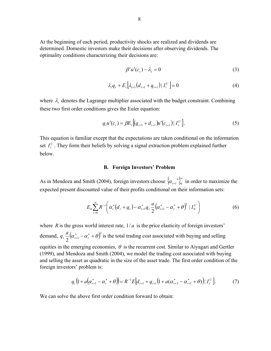At the beginning of each period, productivity shocks are realized and dividends are determined. Domestic investors make their decisions after observing dividends. The optimality conditions characterizing their decisions are:

$$
\beta^t u'(c_t) - \lambda_t = 0 \tag{3}
$$

$$
\lambda_{t}q_{t} + E_{t} \left[ \lambda_{t+1} \left( d_{t+1} + q_{t+1} \right) \mid I_{t}^{U} \right] = 0 \tag{4}
$$

where  $\lambda$ , denotes the Lagrange multiplier associated with the budget constraint. Combining these two first order conditions gives the Euler equation:

$$
q_t u'(c_t) = \beta E_t \big[ \big( q_{t+1} + d_{t+1} \big) u'(c_{t+1}) \, | \, I_t^U \big]. \tag{5}
$$

This equation is familiar except that the expectations are taken conditional on the information set  $I_t^U$ . They form their beliefs by solving a signal extraction problem explained further below.

#### **B. Foreign Investors' Problem**

As in Mendoza and Smith (2004), foreign investors choose  $\{\alpha_{t+1}}^* \}^{\infty}_{0}$  in order to maximize the expected present discounted value of their profits conditional on their information sets:

$$
E_0 \sum_{t=0}^{\infty} R^{-t} \bigg( \alpha_t^* \big( d_t + q_t \big) - \alpha_{t+1}^* q_t \frac{a}{2} \big( \alpha_{t+1}^* - \alpha_t^* + \theta \big)^2 \mid I_0^U \bigg) \tag{6}
$$

where *R* is the gross world interest rate,  $1/a$  is the price elasticity of foreign investors' demand,  $q_t \frac{a}{2} (\alpha_{t+1}^* - \alpha_t^* + \theta)^2$  $\overline{2}^{(\alpha_{t+1})}$  $\frac{a}{a}(\alpha_{t+1}^* - \alpha_t^* + \theta)$  $q_i \frac{a}{2} (\alpha_{i+1}^* - \alpha_i^* + \theta)^2$  is the total trading cost associated with buying and selling equities in the emerging economies,  $\theta$  is the recurrent cost. Similar to Aiyagari and Gertler (1999), and Mendoza and Smith (2004), we model the trading cost associated with buying and selling the asset as quadratic in the size of the asset trade. The first order condition of the foreign investors' problem is:

$$
q_t\big(1+a\big(\alpha_{t+1}^*-\alpha_t^*+\theta\big)\big)=R^{-1}E\big[d_{t+1}+q_{t+1}\big(1+a(\alpha_{t+2}^*-\alpha_{t+1}^*+\theta)\big)|I_t^U\big].
$$
 (7)

We can solve the above first order condition forward to obtain: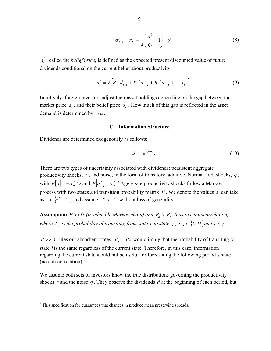$$
\alpha_{t+1}^* - \alpha_t^* = \frac{1}{a} \left( \frac{q_t^b}{q_t} - 1 \right) - \theta.
$$
 (8)

 $q_t^b$ , called the *belief price*, is defined as the expected present discounted value of future dividends conditional on the current belief about productivity:

$$
q_t^b = E\Big[R^{-1}d_{t+1} + R^{-2}d_{t+2} + R^{-3}d_{t+3} + \dots |I_t^U\Big].
$$
 (9)

Intuitively, foreign investors adjust their asset holdings depending on the gap between the market price  $q_t$ , and their belief price  $q_t^b$ . How much of this gap is reflected in the asset demand is determined by 1/ *a* .

#### **C. Information Structure**

Dividends are determined exogenously as follows:

$$
d_t = e^{z_t + \eta_t} \,. \tag{10}
$$

There are two types of uncertainty associated with dividends: persistent aggregate productivity shocks,  $z$ , and noise, in the form of transitory, additive, Normal i.i.d. shocks,  $\eta$ , with  $E[\eta] = -\sigma_{\eta}^2/2$  and  $E[\eta^2] = \sigma_{\eta}^2$ .<sup>7</sup> Aggregate productivity shocks follow a Markov process with two states and transition probability matrix *P* . We denote the values *z* can take as  $z \in \{z^L, z^H\}$  and assume  $z^L < z^H$  without loss of generality.

**Assumption**  $P \gg 0$  (irreducible Markov chain) and  $P_{ii} > P_{ji}$  (positive autocorrelation) *where P<sub>ii</sub> is the probability of transiting from state i to state j; i,*  $j \in \{L, H\}$  *and*  $i \neq j$ *.* 

*P* >> 0 rules out absorbent states.  $P_{ii} = P_{ji}$  would imply that the probability of transiting to state *i* is the same regardless of the current state. Therefore, in this case, information regarding the current state would not be useful for forecasting the following period's state (no autocorrelation).

We assume both sets of investors know the true distributions governing the productivity shocks *z* and the noise  $\eta$ . They observe the dividends *d* at the beginning of each period, but

<sup>&</sup>lt;sup>7</sup> This specification for guarantees that changes in produce mean preserving spreads.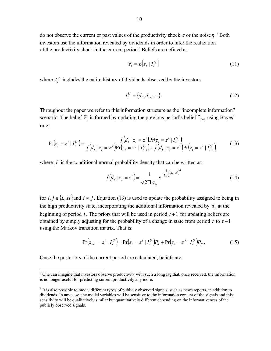do not observe the current or past values of the productivity shock  $z$  or the noise  $\eta$ .<sup>8</sup> Both investors use the information revealed by dividends in order to infer the realization of the productivity shock in the current period.<sup>9</sup> Beliefs are defined as:

$$
\widetilde{z}_t = E[z_t | I_t^U] \tag{11}
$$

where  $I_t^U$  includes the entire history of dividends observed by the investors:

$$
I_t^U = \{d_t, d_{t-1}, \ldots\}.
$$
 (12)

Throughout the paper we refer to this information structure as the "incomplete information" scenario. The belief  $\tilde{z}_t$  is formed by updating the previous period's belief  $\tilde{z}_{t-1}$  using Bayes' rule:

$$
\Pr(z_{t} = z^{i} | I_{t}^{U}) = \frac{f(d_{t} | z_{t} = z^{i}) \Pr(z_{t} = z^{i} | I_{t-1}^{U})}{f(d_{t} | z_{t} = z^{j}) \Pr(z_{t} = z^{i} | I_{t-1}^{U}) + f(d_{t} | z_{t} = z^{i}) \Pr(z_{t} = z^{i} | I_{t-1}^{U})}
$$
(13)

where  $f$  is the conditional normal probability density that can be written as:

$$
f(d_t \mid z_t = z^i) = \frac{1}{\sqrt{2\Pi} \sigma_\eta} e^{-\frac{1}{2\sigma_\eta^2} (d_t - z^i)^2}
$$
 (14)

for  $i, j \in \{L, H\}$  and  $i \neq j$ . Equation (13) is used to update the probability assigned to being in the high productivity state, incorporating the additional information revealed by  $d_t$ , at the beginning of period  $t$ . The priors that will be used in period  $t+1$  for updating beliefs are obtained by simply adjusting for the probability of a change in state from period  $t$  to  $t + 1$ using the Markov transition matrix. That is:

$$
\Pr(z_{t+1} = z^i \mid I_t^U) = \Pr(z_t = z^i \mid I_t^U) P_{ii} + \Pr(z_t = z^j \mid I_t^U) P_{ji}.
$$
 (15)

Once the posteriors of the current period are calculated, beliefs are:

<sup>&</sup>lt;sup>8</sup> One can imagine that investors observe productivity with such a long lag that, once received, the information is no longer useful for predicting current productivity any more.

<sup>&</sup>lt;sup>9</sup> It is also possible to model different types of publicly observed signals, such as news reports, in addition to dividends. In any case, the model variables will be sensitive to the information content of the signals and this sensitivity will be qualitatively similar but quantitatively different depending on the informativeness of the publicly observed signals.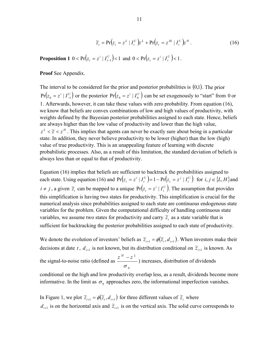$$
\widetilde{z}_t = \Pr(z_t = z^L \mid I_t^U) z^L + \Pr(z_t = z^{Hi} \mid I_t^U) z^H.
$$
\n(16)

**Proposition 1**  $0 < \Pr(z_{t} = z^{i} | I_{t-1}^{U}) < 1$  $z_t = z^i \mid I_{t-1}^U$  > 1 and  $0 < \Pr(z_t = z^i \mid I_t^U)$  < 1  $z_t = z^i \mid I_t^U \big) < 1$ .

**Proof** See Appendix.

The interval to be considered for the prior and posterior probabilities is  $(0,1)$ . The prior  $Pr(z_0 = z^i | I_{-1}^U)$  or the posterior  $Pr(z_0 = z^i | I_0^U)$  can be set exogenously to "start" from 0 or 1. Afterwards, however, it can take these values with zero probability. From equation (16), we know that beliefs are convex combinations of low and high values of productivity, with weights defined by the Bayesian posterior probabilities assigned to each state. Hence, beliefs are always higher than the low value of productivity and lower than the high value,  $z^L < \tilde{z} < z^H$ . This implies that agents can never be exactly sure about being in a particular state. In addition, they never believe productivity to be lower (higher) than the low (high) value of true productivity. This is an unappealing feature of learning with discrete probabilistic processes. Also, as a result of this limitation, the standard deviation of beliefs is always less than or equal to that of productivity.

Equation (16) implies that beliefs are sufficient to backtrack the probabilities assigned to each state. Using equation (16) and  $Pr(z_t = z^i | I_t^U) = 1 - Pr(z_t = z^j | I_t^U)$ *j t U t*  $\Pr(z_t = z^i | I_t^U) = 1 - \Pr(z_t = z^j | I_t^U)$  for  $i, j \in \{L, H\}$  and  $i \neq j$ , a given  $\tilde{z}_i$  can be mapped to a unique  $Pr(z_i = z^i | I_i^U)$  $Pr(z_t = z^i | I_t^U)$ . The assumption that provides this simplification is having two states for productivity. This simplification is crucial for the numerical analysis since probabilities assigned to each state are continuous endogenous state variables for the problem. Given the computational difficulty of handling continuous state variables, we assume two states for productivity and carry  $\tilde{z}_t$  as a state variable that is sufficient for backtracking the posterior probabilities assigned to each state of productivity.

We denote the evolution of investors' beliefs as  $\tilde{z}_{t+1} = \phi(\tilde{z}_t, d_{t+1})$ . When investors make their decisions at date *t*,  $d_{t+1}$  is not known, but its distribution conditional on  $\tilde{z}_{t+1}$  is known. As

the signal-to-noise ratio (defined as  $\sigma_{_{\eta}}$  $Z$ <sup>*H*</sup>  $-Z$ <sup>*L*</sup> ) increases, distribution of dividends

conditional on the high and low productivity overlap less, as a result, dividends become more informative. In the limit as  $\sigma_n$  approaches zero, the informational imperfection vanishes.

In Figure 1, we plot  $\widetilde{z}_{t+1} = \phi(\widetilde{z}_t, d_{t+1})$  for three different values of  $\widetilde{z}_t$  where  $d_{t+1}$  is on the horizontal axis and  $\tilde{z}_{t+1}$  is on the vertical axis. The solid curve corresponds to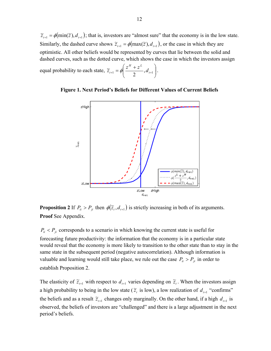$\widetilde{z}_{t+1} = \phi(\min(\widetilde{z}), d_{t+1})$ ; that is, investors are "almost sure" that the economy is in the low state. Similarly, the dashed curve shows  $\tilde{z}_{t+1} = \phi(\max(\tilde{z}), d_{t+1})$ , or the case in which they are optimistic. All other beliefs would be represented by curves that lie between the solid and dashed curves, such as the dotted curve, which shows the case in which the investors assign

equal probability to each state,  $\widetilde{z}_{t+1} = \phi \left| \frac{z+2}{2}, d_{t+1} \right|$ ⎠ ⎞  $\parallel$ ⎝  $(z^H +$  $\widetilde{z}_{t+1} = \phi\left(\frac{z^H + z^L}{2}, d_{t+1}\right).$ 





**Proposition 2** If  $P_{ii} > P_{ji}$  then  $\phi(\tilde{z}_t, d_{t+1})$  is strictly increasing in both of its arguments. **Proof** See Appendix.

 $P_{ii}$  <  $P_{jj}$  corresponds to a scenario in which knowing the current state is useful for forecasting future productivity: the information that the economy is in a particular state would reveal that the economy is more likely to transition to the other state than to stay in the same state in the subsequent period (negative autocorrelation). Although information is valuable and learning would still take place, we rule out the case  $P_{ii} > P_{ji}$  in order to establish Proposition 2.

The elasticity of  $\tilde{z}_{t+1}$  with respect to  $d_{t+1}$  varies depending on  $\tilde{z}_t$ . When the investors assign a high probability to being in the low state ( $\tilde{z}_t$  is low), a low realization of  $d_{t+1}$  "confirms" the beliefs and as a result  $\tilde{z}_{t+1}$  changes only marginally. On the other hand, if a high  $d_{t+1}$  is observed, the beliefs of investors are "challenged" and there is a large adjustment in the next period's beliefs.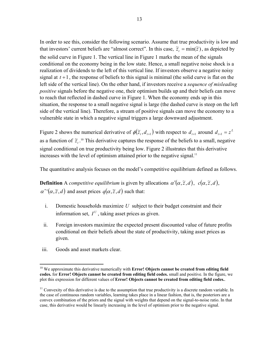In order to see this, consider the following scenario. Assume that true productivity is low and that investors' current beliefs are "almost correct". In this case,  $\tilde{z}_t = \min(\tilde{z})$ , as depicted by the solid curve in Figure 1. The vertical line in Figure 1 marks the mean of the signals conditional on the economy being in the low state. Hence, a small negative noise shock is a realization of dividends to the left of this vertical line. If investors observe a negative noisy signal at  $t+1$ , the response of beliefs to this signal is minimal (the solid curve is flat on the left side of the vertical line). On the other hand, if investors receive a *sequence of misleading positive* signals before the negative one, their optimism builds up and their beliefs can move to reach that reflected in dashed curve in Figure 1. When the economy ends up in this situation, the response to a small negative signal is large (the dashed curve is steep on the left side of the vertical line). Therefore, a stream of positive signals can move the economy to a vulnerable state in which a negative signal triggers a large downward adjustment.

Figure 2 shows the numerical derivative of  $\phi(\tilde{z}_t, d_{t+1})$  with respect to  $d_{t+1}$  around  $d_{t+1} = z^L$ as a function of  $\tilde{z}_i$ .<sup>10</sup> This derivative captures the response of the beliefs to a small, negative signal conditional on true productivity being low. Figure 2 illustrates that this derivative increases with the level of optimism attained prior to the negative signal.<sup>11</sup>

The quantitative analysis focuses on the model's competitive equilibrium defined as follows.

**Definition** A *competitive equilibrium* is given by allocations  $\alpha'(\alpha, \tilde{z}, d)$ ,  $c(\alpha, \tilde{z}, d)$ ,  $\alpha^*(\alpha, \tilde{z}, d)$  and asset prices  $q(\alpha, \tilde{z}, d)$  such that:

- i. Domestic households maximize *U* subject to their budget constraint and their information set,  $I^U$ , taking asset prices as given.
- ii. Foreign investors maximize the expected present discounted value of future profits conditional on their beliefs about the state of productivity, taking asset prices as given.
- iii. Goods and asset markets clear.

 $\overline{a}$ 

<sup>&</sup>lt;sup>10</sup> We approximate this derivative numerically with **Error! Objects cannot be created from editing field codes.** for **Error! Objects cannot be created from editing field codes.** small and positive. In the figure, we plot this expression for different values of **Error! Objects cannot be created from editing field codes.**.

 $11$  Convexity of this derivative is due to the assumption that true productivity is a discrete random variable. In the case of continuous random variables, learning takes place in a linear fashion, that is, the posteriors are a convex combination of the priors and the signal with weights that depend on the signal-to-noise ratio. In that case, this derivative would be linearly increasing in the level of optimism prior to the negative signal.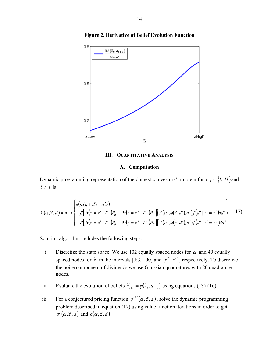

**Figure 2. Derivative of Belief Evolution Function**

## **III. QUANTITATIVE ANALYSIS**

#### **A. Computation**

Dynamic programming representation of the domestic investors' problem for  $i, j \in \{L, H\}$  and  $i \neq j$  is:

$$
V(\alpha, \tilde{z}, d) = \max_{\alpha'} \left\{ + \beta \left[ \Pr(z = z^i \mid I^U) P_{ii} + \Pr(z = z^j \mid I^U) P_{jj} \right] \int V(\alpha', \phi(\tilde{z}, d'), d') f(d' \mid z' = z^i) dd' \right\}
$$
 17)  
+  $\beta \left[ \Pr(z = z^i \mid I^U) P_{ij} + \Pr(z = z^j \mid I^U) P_{jj} \right] \int V(\alpha', \phi(\tilde{z}, d'), d') f(d' \mid z' = z^j) dd' \right]$ 

Solution algorithm includes the following steps:

- i. Discretize the state space. We use 102 equally spaced nodes for  $\alpha$  and 40 equally spaced nodes for  $\tilde{z}$  in the intervals [.83,1.00] and  $[z^L, z^H]$  respectively. To discretize the noise component of dividends we use Gaussian quadratures with 20 quadrature nodes.
- ii. Evaluate the evolution of beliefs  $\tilde{z}_{t+1} = \phi(\tilde{z}_t, d_{t+1})$  using equations (13)-(16).
- iii. For a conjectured pricing function  $q^{old}(\alpha, \tilde{z}, d)$ , solve the dynamic programming problem described in equation (17) using value function iterations in order to get  $\alpha'(\alpha, \tilde{z}, d)$  and  $c(\alpha, \tilde{z}, d)$ .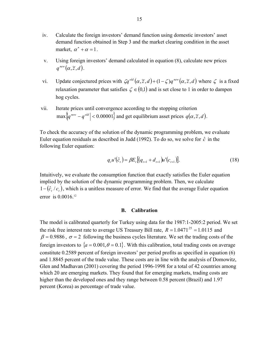- iv. Calculate the foreign investors' demand function using domestic investors' asset demand function obtained in Step 3 and the market clearing condition in the asset market,  $\alpha^* + \alpha = 1$ .
- v. Using foreign investors' demand calculated in equation (8), calculate new prices  $q^{new}(\alpha, \tilde{z}, d)$ .
- vi. Update conjectured prices with  $\zeta q^{old}(\alpha, \tilde{z}, d) + (1 \zeta)q^{new}(\alpha, \tilde{z}, d)$  where  $\zeta$  is a fixed relaxation parameter that satisfies  $\zeta \in (0,1)$  and is set close to 1 in order to dampen hog cycles.
- vii. Iterate prices until convergence according to the stopping criterion  $\max \left\{ q^{new} - q^{old} \right\} < 0.00001 \right\}$  and get equilibrium asset prices  $q(\alpha, \tilde{z}, d)$ .

To check the accuracy of the solution of the dynamic programming problem, we evaluate Euler equation residuals as described in Judd  $(1992)$ . To do so, we solve for  $\hat{c}$  in the following Euler equation:

$$
q_{t}u'(\hat{c}_{t}) = \beta E_{t}[(q_{t+1} + d_{t+1})u'(c_{t+1})].
$$
\n(18)

Intuitively, we evaluate the consumption function that exactly satisfies the Euler equation implied by the solution of the dynamic programming problem. Then, we calculate  $1 - (\hat{c}, / c, )$ , which is a unitless measure of error. We find that the average Euler equation error is  $0.0016$ .<sup>12</sup>

#### **B. Calibration**

The model is calibrated quarterly for Turkey using data for the 1987:1-2005:2 period. We set the risk free interest rate to average US Treasury Bill rate,  $R = 1.0471^{25} = 1.0115$  and  $\beta = 0.9886$ ,  $\sigma = 2$  following the business cycles literature. We set the trading costs of the foreign investors to  ${a = 0.001, \theta = 0.1}$ . With this calibration, total trading costs on average constitute 0.2589 percent of foreign investors' per period profits as specified in equation (6) and 1.8845 percent of the trade value. These costs are in line with the analysis of Domowitz, Glen and Madhavan (2001) covering the period 1996-1998 for a total of 42 countries among which 20 are emerging markets. They found that for emerging markets, trading costs are higher than the developed ones and they range between 0.58 percent (Brazil) and 1.97 percent (Korea) as percentage of trade value.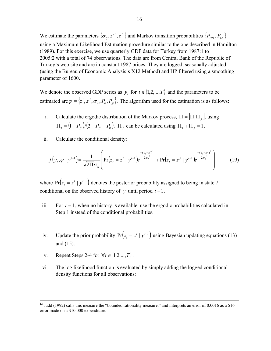We estimate the parameters  $\{\sigma_n, z^H, z^L\}$  and Markov transition probabilities  $\{P_{HH}, P_{LL}\}$ using a Maximum Likelihood Estimation procedure similar to the one described in Hamilton (1989). For this exercise, we use quarterly GDP data for Turkey from 1987:1 to 2005:2 with a total of 74 observations. The data are from Central Bank of the Republic of Turkey's web site and are in constant 1987 prices. They are logged, seasonally adjusted (using the Bureau of Economic Analysis's X12 Method) and HP filtered using a smoothing parameter of 1600.

We denote the observed GDP series as  $y_t$  for  $t \in \{1, 2, ..., T\}$  and the parameters to be estimated are  $\psi = \{z^i, z^j, \sigma_n, P_{ii}, P_{jj}\}$ . The algorithm used for the estimation is as follows:

- i. Calculate the ergodic distribution of the Markov process,  $\Pi = [\Pi_i \Pi_j]$ , using  $\Pi_i = (1 - P_{ij})/(2 - P_{ij} - P_{ii})$ .  $\Pi_j$  can be calculated using  $\Pi_i + \Pi_j = 1$ .
- ii. Calculate the conditional density:

$$
f(y_t, \psi | y^{t-1}) = \frac{1}{\sqrt{2\Pi}\sigma_{\eta}} \left( \Pr(z_t = z^i | y^{t-1}) e^{\frac{-(y_t - z^i)^2}{2\sigma_{\eta}^2}} + \Pr(z_t = z^j | y^{t-1}) e^{\frac{-(y_t - z^i)^2}{2\sigma_{\eta}^2}} \right)
$$
(19)

where  $Pr(z_t = z^i | y^{t-1})$  denotes the posterior probability assigned to being in state *i* conditional on the observed history of *y* until period  $t-1$ .

- iii. For  $t = 1$ , when no history is available, use the ergodic probabilities calculated in Step 1 instead of the conditional probabilities.
- iv. Update the prior probability  $Pr(z_t = z^i | y^{t-1})$  using Bayesian updating equations (13) and (15).
- v. Repeat Steps 2-4 for  $∀t ∈ {1, 2, ..., T}$ .
- vi. The log likelihood function is evaluated by simply adding the logged conditional density functions for all observations:

<sup>&</sup>lt;sup>12</sup> Judd (1992) calls this measure the "bounded rationality measure," and interprets an error of 0.0016 as a \$16 error made on a \$10,000 expenditure.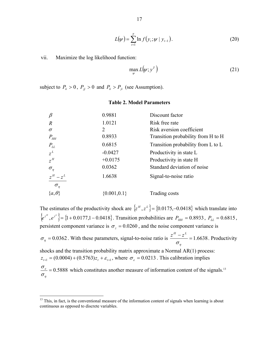$$
L(\psi) = \sum_{t=1}^{T} \ln f(y_t; \psi \mid y_{t-1}).
$$
\n(20)

vii. Maximize the log likelihood function:

$$
\max_{\psi} L(\psi; y^T) \tag{21}
$$

subject to  $P_{ii} > 0$ ,  $P_{jj} > 0$  and  $P_{ii} > P_{jj}$  (see Assumption).

## **Table 2. Model Parameters**

|                 | 0.9881           | Discount factor                    |
|-----------------|------------------|------------------------------------|
| $\overline{R}$  | 1.0121           | Risk free rate                     |
| $\sigma$        | 2                | Risk aversion coefficient          |
| $P_{HH}$        | 0.8933           | Transition probability from H to H |
| $P_{LL}$        | 0.6815           | Transition probability from L to L |
| $z^L$           | $-0.0427$        | Productivity in state L            |
| $z^H$           | $+0.0175$        | Productivity in state H            |
| $\sigma_{\eta}$ | 0.0362           | Standard deviation of noise        |
| $z^H - z^L$     | 1.6638           | Signal-to-noise ratio              |
| $\sigma_{\eta}$ |                  |                                    |
| ${a, \theta}$   | $\{0.001, 0.1\}$ | Trading costs                      |

The estimates of the productivity shock are  $\{z^H, z^L\} = \{0.0175, -0.0418\}$  which translate into  ${e^{z^{\mu}}}, e^{z^{\mu}} = {1 + 0.0177, 1 - 0.0418}.$  Transition probabilities are  $P_{HH} = 0.8933$ ,  $P_{LL} = 0.6815$ , persistent component variance is  $\sigma_z = 0.0260$ , and the noise component variance is  $\sigma_{\eta} = 0.0362$ . With these parameters, signal-to-noise ratio is  $\frac{z^H - z^L}{z} = 1.6638$  $\sigma_{_\eta}$  $\frac{z^H - z^L}{z} = 1.6638$ . Productivity shocks and the transition probability matrix approximate a Normal AR(1) process:  $z_{t+1} = (0.0004) + (0.5763) z_t + \varepsilon_{t+1}$ , where  $\sigma_{\varepsilon} = 0.0213$ . This calibration implies  $= 0.5888$ η ε  $\frac{\sigma_{\varepsilon}}{\sigma_{\varepsilon}}$  = 0.5888 which constitutes another measure of information content of the signals.<sup>13</sup>

<u>.</u>

 $13$  This, in fact, is the conventional measure of the information content of signals when learning is about continuous as opposed to discrete variables.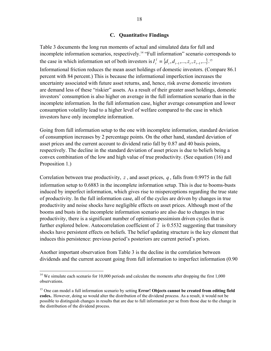## **C. Quantitative Findings**

Table 3 documents the long run moments of actual and simulated data for full and incomplete information scenarios, respectively.14 "Full information" scenario corresponds to the case in which information set of both investors is  $I_t^I = \{d_t, d_{t-1},..., z_t, z_{t-1},...\}$ <sup>15</sup>

Informational friction reduces the mean asset holdings of domestic investors. (Compare 86.1 percent with 84 percent.) This is because the informational imperfection increases the uncertainty associated with future asset returns, and, hence, risk averse domestic investors are demand less of these "riskier" assets. As a result of their greater asset holdings, domestic investors' consumption is also higher on average in the full information scenario than in the incomplete information. In the full information case, higher average consumption and lower consumption volatility lead to a higher level of welfare compared to the case in which investors have only incomplete information.

Going from full information setup to the one with incomplete information, standard deviation of consumption increases by 2 percentage points. On the other hand, standard deviation of asset prices and the current account to dividend ratio fall by 0.87 and 40 basis points, respectively. The decline in the standard deviation of asset prices is due to beliefs being a convex combination of the low and high value of true productivity. (See equation (16) and Proposition 1.)

Correlation between true productivity, *z* , and asset prices, *q* , falls from 0.9975 in the full information setup to 0.6883 in the incomplete information setup. This is due to booms-busts induced by imperfect information, which gives rise to misperceptions regarding the true state of productivity. In the full information case, all of the cycles are driven by changes in true productivity and noise shocks have negligible effects on asset prices. Although most of the booms and busts in the incomplete information scenario are also due to changes in true productivity, there is a significant number of optimism-pessimism driven cycles that is further explored below. Autocorrelation coefficient of  $\overline{z}$  is 0.5532 suggesting that transitory shocks have persistent effects on beliefs. The belief updating structure is the key element that induces this persistence: previous period's posteriors are current period's priors.

Another important observation from Table 3 is the decline in the correlation between dividends and the current account going from full information to imperfect information (0.90

1

<sup>&</sup>lt;sup>14</sup> We simulate each scenario for 10,000 periods and calculate the moments after dropping the first 1,000 observations.

<sup>&</sup>lt;sup>15</sup> One can model a full information scenario by setting **Error! Objects cannot be created from editing field codes.**. However, doing so would alter the distribution of the dividend process. As a result, it would not be possible to distinguish changes in results that are due to full information per se from those due to the change in the distribution of the dividend process.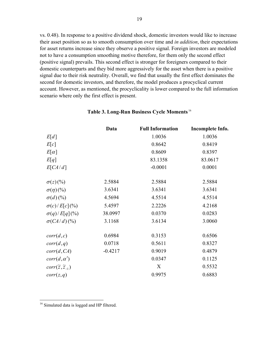vs. 0.48). In response to a positive dividend shock, domestic investors would like to increase their asset position so as to smooth consumption over time and *in addition*, their expectations for asset returns increase since they observe a positive signal. Foreign investors are modeled not to have a consumption smoothing motive therefore, for them only the second effect (positive signal) prevails. This second effect is stronger for foreigners compared to their domestic counterparts and they bid more aggressively for the asset when there is a positive signal due to their risk neutrality. Overall, we find that usually the first effect dominates the second for domestic investors, and therefore, the model produces a procyclical current account. However, as mentioned, the procyclicality is lower compared to the full information scenario where only the first effect is present.

|                                          | Data      | <b>Full Information</b> | Incomplete Info. |
|------------------------------------------|-----------|-------------------------|------------------|
| E[d]                                     |           | 1.0036                  | 1.0036           |
| E[c]                                     |           | 0.8642                  | 0.8419           |
| $E[\alpha]$                              |           | 0.8609                  | 0.8397           |
| E[q]                                     |           | 83.1358                 | 83.0617          |
| E[CA/d]                                  |           | $-0.0001$               | 0.0001           |
| $\sigma(z)$ (%)                          | 2.5884    | 2.5884                  | 2.5884           |
| $\sigma(\eta)(\%)$                       | 3.6341    | 3.6341                  | 3.6341           |
| $\sigma(d)$ (%)                          | 4.5694    | 4.5514                  | 4.5514           |
| $\sigma(c)/E[c](\%)$                     | 5.4597    | 2.2226                  | 4.2168           |
| $\sigma(q)/E[q](\%)$                     | 38.0997   | 0.0370                  | 0.0283           |
| $\sigma(CA/d)(\%)$                       | 3.1168    | 3.6134                  | 3.0060           |
| corr(d,c)                                | 0.6984    | 0.3153                  | 0.6506           |
| corr(d,q)                                | 0.0718    | 0.5611                  | 0.8327           |
| corr(d, CA)                              | $-0.4217$ | 0.9019                  | 0.4879           |
| $corr(d, \alpha')$                       |           | 0.0347                  | 0.1125           |
| $corr(\widetilde{z},\widetilde{z}_{-1})$ |           | X                       | 0.5532           |
| corr(z,q)                                |           | 0.9975                  | 0.6883           |

## **Table 3. Long-Run Business Cycle Moments**<sup>16</sup>

 $\overline{a}$ 

<sup>&</sup>lt;sup>16</sup> Simulated data is logged and HP filtered.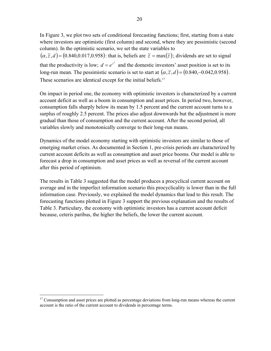In Figure 3, we plot two sets of conditional forecasting functions; first, starting from a state where investors are optimistic (first column) and second, where they are pessimistic (second column). In the optimistic scenario, we set the state variables to  $(\alpha, \tilde{z}, d) = (0.840, 0.017, 0.958)$ : that is, beliefs are  $\tilde{z} = \max(\tilde{z})$ ; dividends are set to signal that the productivity is low;  $d = e^{z^L}$  and the domestic investors' asset position is set to its long-run mean. The pessimistic scenario is set to start at  $(\alpha, \tilde{z}, d) = (0.840, -0.042, 0.958)$ . These scenarios are identical except for the initial beliefs.<sup>17</sup>

On impact in period one, the economy with optimistic investors is characterized by a current account deficit as well as a boom in consumption and asset prices. In period two, however, consumption falls sharply below its mean by 1.5 percent and the current account turns to a surplus of roughly 2.5 percent. The prices also adjust downwards but the adjustment is more gradual than those of consumption and the current account. After the second period, all variables slowly and monotonically converge to their long-run means.

Dynamics of the model economy starting with optimistic investors are similar to those of emerging market crises. As documented in Section 1, pre-crisis periods are characterized by current account deficits as well as consumption and asset price booms. Our model is able to forecast a drop in consumption and asset prices as well as reversal of the current account after this period of optimism.

The results in Table 3 suggested that the model produces a procyclical current account on average and in the imperfect information scenario this procyclicality is lower than in the full information case. Previously, we explained the model dynamics that lead to this result. The forecasting functions plotted in Figure 3 support the previous explanation and the results of Table 3. Particulary, the economy with optimistic investors has a current account deficit because, ceteris paribus, the higher the beliefs, the lower the current account.

 $\overline{a}$ 

 $17$  Consumption and asset prices are plotted as percentage deviations from long-run means whereas the current account is the ratio of the current account to dividends in percentage terms.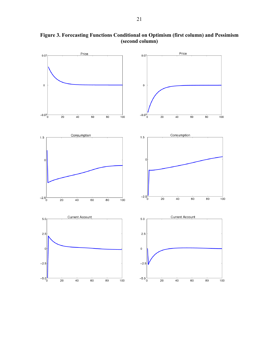

**Figure 3. Forecasting Functions Conditional on Optimism (first column) and Pessimism (second column)**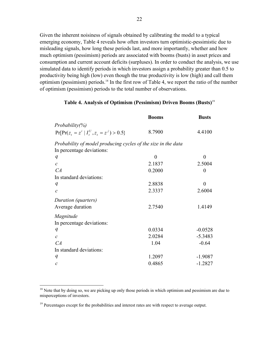Given the inherent noisiness of signals obtained by calibrating the model to a typical emerging economy, Table 4 reveals how often investors turn optimistic-pessimistic due to misleading signals, how long these periods last, and more importantly, whether and how much optimism (pessimism) periods are associated with booms (busts) in asset prices and consumption and current account deficits (surpluses). In order to conduct the analysis, we use simulated data to identify periods in which investors assign a probability greater than 0.5 to productivity being high (low) even though the true productivity is low (high) and call them optimism (pessimism) periods.18 In the first row of Table 4, we report the ratio of the number of optimism (pessimism) periods to the total number of observations.

## **Table 4. Analysis of Optimism (Pessimism) Driven Booms (Busts)**<sup>19</sup>

|                                                               | <b>Booms</b> | <b>Busts</b> |
|---------------------------------------------------------------|--------------|--------------|
| $Probability(\%)$                                             |              |              |
| $Pr[Pr(z_i = z^i   I_t^U, z_i = z^j) > 0.5]$                  | 8.7900       | 4.4100       |
| Probability of model producing cycles of the size in the data |              |              |
| In percentage deviations:                                     |              |              |
| q                                                             | 0            | $\theta$     |
| $\mathcal{C}$                                                 | 2.1837       | 2.5004       |
| CA                                                            | 0.2000       | $\theta$     |
| In standard deviations:                                       |              |              |
| q                                                             | 2.8838       | $\theta$     |
| $\mathcal{C}$                                                 | 2.3337       | 2.6004       |
| Duration (quarters)                                           |              |              |
| Average duration                                              | 2.7540       | 1.4149       |
| Magnitude                                                     |              |              |
| In percentage deviations:                                     |              |              |
| q                                                             | 0.0334       | $-0.0528$    |
| $\mathcal{C}_{\mathcal{C}}$                                   | 2.0284       | $-5.3483$    |
| CA                                                            | 1.04         | $-0.64$      |
| In standard deviations:                                       |              |              |
| q                                                             | 1.2097       | $-1.9087$    |
| $\mathcal{C}$                                                 | 0.4865       | $-1.2827$    |

1

 $18$  Note that by doing so, we are picking up only those periods in which optimism and pessimism are due to misperceptions of investors.

<sup>&</sup>lt;sup>19</sup> Percentages except for the probabilities and interest rates are with respect to average output.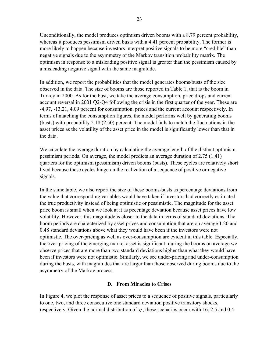Unconditionally, the model produces optimism driven booms with a 8.79 percent probability, whereas it produces pessimism driven busts with a 4.41 percent probability. The former is more likely to happen because investors interpret positive signals to be more "credible" than negative signals due to the asymmetry of the Markov transition probability matrix. The optimism in response to a misleading positive signal is greater than the pessimism caused by a misleading negative signal with the same magnitude.

In addition, we report the probabilities that the model generates booms/busts of the size observed in the data. The size of booms are those reported in Table 1, that is the boom in Turkey in 2000. As for the bust, we take the average consumption, price drops and current account reversal in 2001 Q2-Q4 following the crisis in the first quarter of the year. These are -4.97, -13.21, 4.09 percent for consumption, prices and the current account respectively. In terms of matching the consumption figures, the model performs well by generating booms (busts) with probability 2.18 (2.50) percent. The model fails to match the fluctuations in the asset prices as the volatility of the asset price in the model is significantly lower than that in the data.

We calculate the average duration by calculating the average length of the distinct optimismpessimism periods. On average, the model predicts an average duration of 2.75 (1.41) quarters for the optimism (pessimism) driven booms (busts). These cycles are relatively short lived because these cycles hinge on the realization of a sequence of positive or negative signals.

In the same table, we also report the size of these booms-busts as percentage deviations from the value that corresponding variables would have taken if investors had correctly estimated the true productivity instead of being optimistic or pessimistic. The magnitude for the asset price boom is small when we look at it as pecentage deviation because asset prices have low volatility. However, this magnitude is closer to the data in terms of standard deviations. The boom periods are characterized by asset prices and consumption that are on average 1.20 and 0.48 standard deviations above what they would have been if the investors were not optimistic. The over-pricing as well as over-consumption are evident in this table. Especially, the over-pricing of the emerging market asset is significant: during the booms on average we observe prices that are more than two standard deviations higher than what they would have been if investors were not optimistic. Similarly, we see under-pricing and under-consumption during the busts, with magnitudes that are larger than those observed during booms due to the asymmetry of the Markov process.

## **D. From Miracles to Crises**

In Figure 4, we plot the response of asset prices to a sequence of positive signals, particularly to one, two, and three consecutive one standard deviation positive transitory shocks, respectively. Given the normal distribution of  $\eta$ , these scenarios occur with 16, 2.5 and 0.4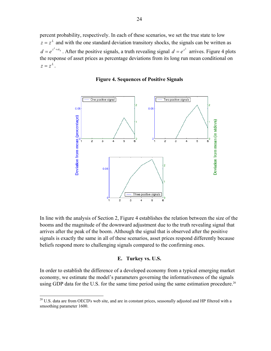percent probability, respectively. In each of these scenarios, we set the true state to low  $z = z<sup>L</sup>$  and with the one standard deviation transitory shocks, the signals can be written as  $d = e^{z^L + \sigma_{\eta}}$ . After the positive signals, a truth revealing signal  $d = e^{z^L}$  arrives. Figure 4 plots the response of asset prices as percentage deviations from its long run mean conditional on  $z = z^L$ .





In line with the analysis of Section 2, Figure 4 establishes the relation between the size of the booms and the magnitude of the downward adjustment due to the truth revealing signal that arrives after the peak of the boom. Although the signal that is observed after the positive signals is exactly the same in all of these scenarios, asset prices respond differently because beliefs respond more to challenging signals compared to the confirming ones.

## **E. Turkey vs. U.S.**

In order to establish the difference of a developed economy from a typical emerging market economy, we estimate the model's parameters governing the informativeness of the signals using GDP data for the U.S. for the same time period using the same estimation procedure.<sup>20</sup>

 $\overline{a}$ 

 $20$  U.S. data are from OECD's web site, and are in constant prices, seasonally adjusted and HP filtered with a smoothing parameter 1600.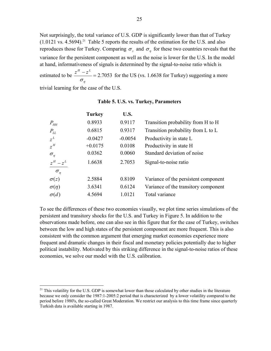Not surprisingly, the total variance of U.S. GDP is significantly lower than that of Turkey  $(1.0121 \text{ vs. } 4.5694)^{21}$  Table 5 reports the results of the estimation for the U.S. and also reproduces those for Turkey. Comparing  $\sigma_z$  and  $\sigma_n$  for these two countries reveals that the variance for the persistent component as well as the noise is lower for the U.S. In the model at hand, informativeness of signals is determined by the signal-to-noise ratio which is estimated to be  $\frac{z^H - z^L}{z} = 2.7053$  $\sigma_{_\eta}$  $\frac{z^H - z^L}{z^H - z^L} = 2.7053$  for the US (vs. 1.6638 for Turkey) suggesting a more

trivial learning for the case of the U.S.

 $\overline{a}$ 

|                 | <b>Turkey</b> | U.S.      |                                      |
|-----------------|---------------|-----------|--------------------------------------|
| $P_{HH}$        | 0.8933        | 0.9117    | Transition probability from H to H   |
| $P_{LL}$        | 0.6815        | 0.9317    | Transition probability from L to L   |
| $z^L$           | $-0.0427$     | $-0.0054$ | Productivity in state L              |
| $z^H$           | $+0.0175$     | 0.0108    | Productivity in state H              |
| $\sigma_{\eta}$ | 0.0362        | 0.0060    | Standard deviation of noise          |
| $z^H - z^L$     | 1.6638        | 2.7053    | Signal-to-noise ratio                |
| $\sigma_{\eta}$ |               |           |                                      |
| $\sigma(z)$     | 2.5884        | 0.8109    | Variance of the persistent component |
| $\sigma(\eta)$  | 3.6341        | 0.6124    | Variance of the transitory component |
| $\sigma(d)$     | 4.5694        | 1.0121    | Total variance                       |

## **Table 5. U.S. vs. Turkey, Parameters**

To see the differences of these two economies visually, we plot time series simulations of the persistent and transitory shocks for the U.S. and Turkey in Figure 5. In addition to the observations made before, one can also see in this figure that for the case of Turkey, switches between the low and high states of the persistent component are more frequent. This is also consistent with the common argument that emerging market economies experience more frequent and dramatic changes in their fiscal and monetary policies potentially due to higher political instability. Motivated by this striking difference in the signal-to-noise ratios of these economies, we solve our model with the U.S. calibration.

 $21$  This volatility for the U.S. GDP is somewhat lower than those calculated by other studies in the literature because we only consider the 1987:1-2005:2 period that is characterized by a lower volatility compared to the period before 1980's, the so-called Great Moderation. We restrict our analysis to this time frame since quarterly Turkish data is available starting in 1987.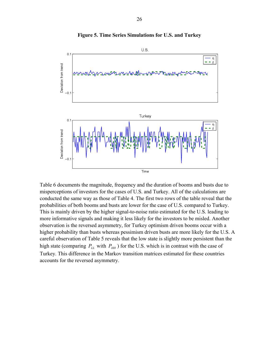

**Figure 5. Time Series Simulations for U.S. and Turkey** 

Table 6 documents the magnitude, frequency and the duration of booms and busts due to misperceptions of investors for the cases of U.S. and Turkey. All of the calculations are conducted the same way as those of Table 4. The first two rows of the table reveal that the probabilities of both booms and busts are lower for the case of U.S. compared to Turkey. This is mainly driven by the higher signal-to-noise ratio estimated for the U.S. leading to more informative signals and making it less likely for the investors to be misled. Another observation is the reversed asymmetry, for Turkey optimism driven booms occur with a higher probability than busts whereas pessimism driven busts are more likely for the U.S. A careful observation of Table 5 reveals that the low state is slightly more persistent than the high state (comparing  $P_{LL}$  with  $P_{HH}$ ) for the U.S. which is in contrast with the case of Turkey. This difference in the Markov transition matrices estimated for these countries accounts for the reversed asymmetry.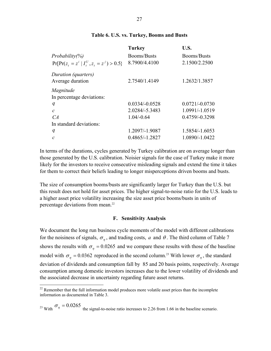## **Table 6. U.S. vs. Turkey, Booms and Busts**

|                                              | <b>Turkey</b>  | U.S.             |
|----------------------------------------------|----------------|------------------|
| $Probability(\%)$                            | Booms/Busts    | Booms/Busts      |
| $Pr[Pr(z_t = z^i   I_t^U, z_t = z^j) > 0.5]$ | 8.7900/4.4100  | 2.1500/2.2500    |
| Duration (quarters)                          |                |                  |
| Average duration                             | 2.7540/1.4149  | 1.2632/1.3857    |
| Magnitude                                    |                |                  |
| In percentage deviations:                    |                |                  |
| q                                            | 0.0334/-0.0528 | $0.0721/-0.0730$ |
| $\mathcal{C}$                                | 2.0284/-5.3483 | 1.0991/-1.0519   |
| CA                                           | $1.04/-0.64$   | 0.4759/-0.3298   |
| In standard deviations:                      |                |                  |
| q                                            | 1.2097/-1.9087 | 1.5854/-1.6053   |
| $\mathcal{C}$                                | 0.4865/-1.2827 | 1.0890/-1.0422   |

In terms of the durations, cycles generated by Turkey calibration are on average longer than those generated by the U.S. calibration. Noisier signals for the case of Turkey make it more likely for the investors to receive consecutive misleading signals and extend the time it takes for them to correct their beliefs leading to longer misperceptions driven booms and busts.

The size of consumption booms/busts are significantly larger for Turkey than the U.S. but this result does not hold for asset prices. The higher signal-to-noise ratio for the U.S. leads to a higher asset price volatility increasing the size asset price booms/busts in units of percentage deviations from mean.22

## **F. Sensitivity Analysis**

We document the long run business cycle moments of the model with different calibrations for the noisiness of signals,  $\sigma_n$ , and trading costs, *a* and  $\theta$ . The third column of Table 7 shows the results with  $\sigma_n = 0.0265$  and we compare these results with those of the baseline model with  $\sigma_n = 0.0362$  reproduced in the second column.<sup>23</sup> With lower  $\sigma_n$ , the standard deviation of dividends and consumption fall by 85 and 20 basis points, respectively. Average consumption among domestic investors increases due to the lower volatility of dividends and the associated decrease in uncertainty regarding future asset returns.

 $\overline{a}$ 

<sup>23</sup> With  $\sigma_{\eta} = 0.0265$  the signal-to-noise ratio increases to 2.26 from 1.66 in the baseline scenario.

 $22$  Remember that the full information model produces more volatile asset prices than the incomplete information as documented in Table 3.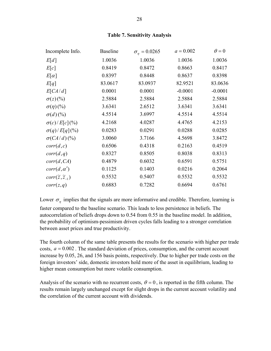## **Table 7. Sensitivity Analysis**

| Incomplete Info.                         | <b>Baseline</b> | $\sigma_n = 0.0265$ | $a = 0.002$ | $\theta = 0$ |
|------------------------------------------|-----------------|---------------------|-------------|--------------|
| E[d]                                     | 1.0036          | 1.0036              | 1.0036      | 1.0036       |
| E[c]                                     | 0.8419          | 0.8472              | 0.8663      | 0.8417       |
| $E[\alpha]$                              | 0.8397          | 0.8448              | 0.8637      | 0.8398       |
| E[q]                                     | 83.0617         | 83.0937             | 82.9521     | 83.0636      |
| E[CA/d]                                  | 0.0001          | 0.0001              | $-0.0001$   | $-0.0001$    |
| $\sigma(z)$ (%)                          | 2.5884          | 2.5884              | 2.5884      | 2.5884       |
| $\sigma(\eta)(\%)$                       | 3.6341          | 2.6512              | 3.6341      | 3.6341       |
| $\sigma(d)$ (%)                          | 4.5514          | 3.6997              | 4.5514      | 4.5514       |
| $\sigma(c)/E[c](\%)$                     | 4.2168          | 4.0287              | 4.4765      | 4.2153       |
| $\sigma(q)/E[q](\%)$                     | 0.0283          | 0.0291              | 0.0288      | 0.0285       |
| $\sigma(CA/d)(\%)$                       | 3.0060          | 3.7166              | 4.5698      | 3.8472       |
| corr(d,c)                                | 0.6506          | 0.4318              | 0.2163      | 0.4519       |
| corr(d,q)                                | 0.8327          | 0.8505              | 0.8038      | 0.8313       |
| corr(d, CA)                              | 0.4879          | 0.6032              | 0.6591      | 0.5751       |
| $corr(d, \alpha')$                       | 0.1125          | 0.1403              | 0.0216      | 0.2064       |
| $corr(\widetilde{z},\widetilde{z}_{-1})$ | 0.5532          | 0.5407              | 0.5532      | 0.5532       |
| corr(z,q)                                | 0.6883          | 0.7282              | 0.6694      | 0.6761       |

Lower  $\sigma_n$  implies that the signals are more informative and credible. Therefore, learning is faster compared to the baseline scenario. This leads to less persistence in beliefs. The autocorrelation of beliefs drops down to 0.54 from 0.55 in the baseline model. In addition, the probability of optimism-pessimism driven cycles falls leading to a stronger correlation between asset prices and true productivity.

The fourth column of the same table presents the results for the scenario with higher per trade costs,  $a = 0.002$ . The standard deviation of prices, consumption, and the current account increase by 0.05, 26, and 156 basis points, respectively. Due to higher per trade costs on the foreign investors' side, domestic investors hold more of the asset in equilibrium, leading to higher mean consumption but more volatile consumption.

Analysis of the scenario with no recurrent costs,  $\theta = 0$ , is reported in the fifth column. The results remain largely unchanged except for slight drops in the current account volatility and the correlation of the current account with dividends.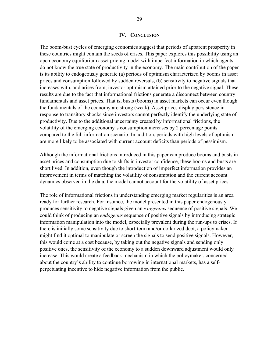#### **IV. CONCLUSION**

The boom-bust cycles of emerging economies suggest that periods of apparent prosperity in these countries might contain the seeds of crises. This paper explores this possibility using an open economy equilibrium asset pricing model with imperfect information in which agents do not know the true state of productivity in the economy. The main contribution of the paper is its ability to endogeously generate (a) periods of optimism characterized by booms in asset prices and consumption followed by sudden reversals, (b) sensitivity to negative signals that increases with, and arises from, investor optimism attained prior to the negative signal. These results are due to the fact that informational frictions generate a disconnect between country fundamentals and asset prices. That is, busts (booms) in asset markets can occur even though the fundamentals of the economy are strong (weak). Asset prices display persistence in response to transitory shocks since investors cannot perfectly identify the underlying state of productivity. Due to the additional uncertainty created by informational frictions, the volatility of the emerging economy's consumption increases by 2 percentage points compared to the full information scenario. In addition, periods with high levels of optimism are more likely to be associated with current account deficits than periods of pessimism.

Although the informational frictions introduced in this paper can produce booms and busts in asset prices and consumption due to shifts in investor confidence, these booms and busts are short lived. In addition, even though the introduction of imperfect information provides an improvement in terms of matching the volatility of consumption and the current account dynamics observed in the data, the model cannot account for the volatility of asset prices.

The role of informational frictions in understanding emerging market regularities is an area ready for further research. For instance, the model presented in this paper endogenously produces sensitivity to negative signals given an *exogenous* sequence of positive signals. We could think of producing an *endogeous* sequence of positive signals by introducing strategic information manipulation into the model, especially prevalent during the run-ups to crises. If there is initially some sensitivity due to short-term and/or dollarized debt, a policymaker might find it optimal to manipulate or screen the signals to send positive signals. However, this would come at a cost because, by taking out the negative signals and sending only positive ones, the sensitivity of the economy to a sudden downward adjustment would only increase. This would create a feedback mechanism in which the policymaker, concerned about the country's ability to continue borrowing in international markets, has a selfperpetuating incentive to hide negative information from the public.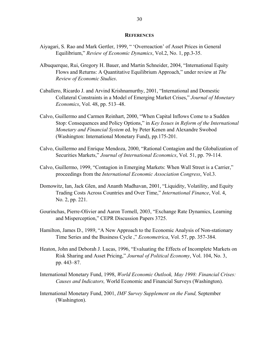#### **REFERENCES**

- Aiyagari, S. Rao and Mark Gertler, 1999, " 'Overreaction' of Asset Prices in General Equilibrium," *Review of Economic Dynamics*, Vol.2, No. 1, pp.3-35.
- Albuquerque, Rui, Gregory H. Bauer, and Martin Schneider, 2004, "International Equity Flows and Returns: A Quantitative Equilibrium Approach," under review at *The Review of Economic Studies*.
- Caballero, Ricardo J. and Arvind Krishnamurthy, 2001, "International and Domestic Collateral Constraints in a Model of Emerging Market Crises," *Journal of Monetary Economics*, Vol. 48, pp. 513–48.
- Calvo, Guillermo and Carmen Reinhart, 2000, "When Capital Inflows Come to a Sudden Stop: Consequences and Policy Options," in *Key Issues in Reform of the International Monetary and Financial System* ed. by Peter Kenen and Alexandre Swobod (Washington: International Monetary Fund), pp.175-201.
- Calvo, Guillermo and Enrique Mendoza, 2000, "Rational Contagion and the Globalization of Securities Markets," *Journal of International Economics*, Vol. 51, pp. 79-114.
- Calvo, Guillermo, 1999, "Contagion in Emerging Markets: When Wall Street is a Carrier," proceedings from the *International Economic Association Congress*, Vol.3.
- Domowitz, Ian, Jack Glen, and Ananth Madhavan, 2001, "Liquidity, Volatility, and Equity Trading Costs Across Countries and Over Time," *International Finance*, Vol. 4, No. 2, pp. 221.
- Gourinchas, Pierre-Olivier and Aaron Tornell, 2003, "Exchange Rate Dynamics, Learning and Misperception," CEPR Discussion Papers 3725.
- Hamilton, James D., 1989, "A New Approach to the Economic Analysis of Non-stationary Time Series and the Business Cycle ," *Econometrica*, Vol. 57, pp. 357-384.
- Heaton, John and Deborah J. Lucas, 1996, "Evaluating the Effects of Incomplete Markets on Risk Sharing and Asset Pricing," *Journal of Political Economy*, Vol. 104, No. 3, pp. 443–87.
- International Monetary Fund, 1998, *World Economic Outlook, May 1998: Financial Crises: Causes and Indicators,* World Economic and Financial Surveys (Washington).
- International Monetary Fund, 2001, *IMF Survey Supplement on the Fund,* September (Washington).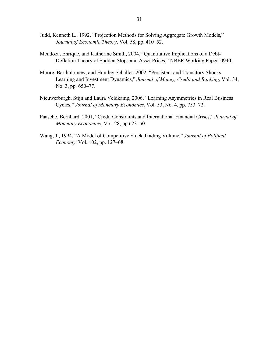- Judd, Kenneth L., 1992, "Projection Methods for Solving Aggregate Growth Models," *Journal of Economic Theory*, Vol. 58, pp. 410–52.
- Mendoza, Enrique, and Katherine Smith, 2004, "Quantitative Implications of a Debt-Deflation Theory of Sudden Stops and Asset Prices," NBER Working Paper10940.
- Moore, Bartholomew, and Huntley Schaller, 2002, "Persistent and Transitory Shocks, Learning and Investment Dynamics," *Journal of Money, Credit and Banking*, Vol. 34, No. 3, pp. 650–77.
- Nieuwerburgh, Stijn and Laura Veldkamp, 2006, "Learning Asymmetries in Real Business Cycles," *Journal of Monetary Economics*, Vol. 53, No. 4, pp. 753–72.
- Paasche, Bernhard, 2001, "Credit Constraints and International Financial Crises," *Journal of Monetary Economics*, Vol. 28, pp.623–50.
- Wang, J., 1994, "A Model of Competitive Stock Trading Volume," *Journal of Political Economy*, Vol. 102, pp. 127–68.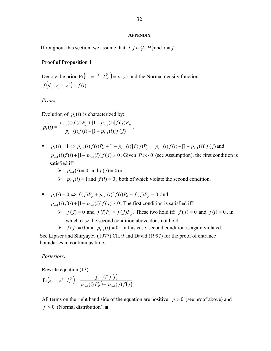#### **APPENDIX**

Throughout this section, we assume that  $i, j \in \{L, H\}$  and  $i \neq j$ .

#### **Proof of Proposition 1**

Denote the prior  $Pr(z_t = z^i | I_{t-1}^U) = p_t(i)$ *t*  $t_i = z^i \mid I_{t-1}^U$  =  $p_i(i)$  and the Normal density function  $f(d_t | z_t = z^i) = f(i)$ .

*Priors:*

Evolution of  $p_i(i)$  is characterized by:

$$
p_{t}(i) = \frac{p_{t-1}(i)f(i)P_{ii} + [1 - p_{t-1}(i)]f(j)P_{ji}}{p_{t-1}(i)f(i) + [1 - p_{t-1}(i)]f(j)}.
$$

- $p_t(i) = 1 \Leftrightarrow p_{t-1}(i) f(i) P_{ii} + [1 p_{t-1}(i)] f(j) P_{ii} = p_{t-1}(i) f(i) + [1 p_{t-1}(i)] f(j)$  and  $p_{t-1}(i) f(i) + [1 - p_{t-1}(i)] f(j) \neq 0$ . Given *P* >> 0 (see Assumption), the first condition is satisfied iff
	- $\rho_{t-1}(i) = 0$  and  $f(j) = 0$  or
	- $\rho_{t-1}(i) = 1$  and  $f(i) = 0$ , both of which violate the second condition.

$$
p_t(i) = 0 \Leftrightarrow f(j)P_{ji} + p_{t-1}(i)[f(i)P_{ii} - f(j)P_{ji} = 0 \text{ and}
$$
  

$$
p_{t-1}(i)f(i) + [1-p_{t-1}(i)]f(j) + 0
$$
 The first condition is satisfied

 $p_{t-1}(i) f(i) + [1 - p_{t-1}(i)] f(j) \neq 0$ . The first condition is satisfied iff

- $\blacktriangleright$   $f(j) = 0$  and  $f(i)P_{ij} = f(j)P_{ij}$ . These two hold iff  $f(j) = 0$  and  $f(i) = 0$ , in which case the second condition above does not hold.
- $\triangleright$  *f*(*j*) = 0 and  $p_{t-1}(i) = 0$ . In this case, second condition is again violated.

See Liptser and Shiryayev (1977) Ch. 9 and David (1997) for the proof of entrance boundaries in continuous time.

*Posteriors:*

Rewrite equation (13):

$$
\Pr(z_{t} = z^{i} | I_{t}^{U}) = \frac{p_{t-1}(i) f(i)}{p_{t-1}(i) f(i) + p_{t-1}(j) f(j)}
$$

All terms on the right hand side of the equation are positive:  $p > 0$  (see proof above) and  $f > 0$  (Normal distribution).  $\blacksquare$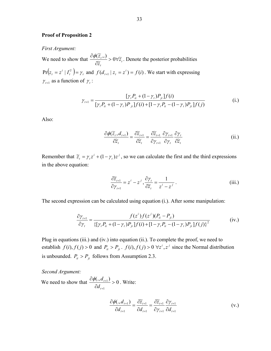#### **Proof of Proposition 2**

*First Argument:*

We need to show that  $\frac{\partial \psi(z_i, t)}{\partial \gamma} > 0 \forall \tilde{z}_i$ *t*  $\frac{t^{j} \cdot \cdot \cdot}{2} > 0 \forall \hat{z}$  $\frac{(\widetilde{z}_t, .)}{\widetilde{z}_{\widetilde{t}_t}} > 0 \forall \widetilde{z}_t$ ∂  $\frac{\partial \phi(\tilde{z}_t, \cdot)}{\partial \tilde{z}_t} > 0 \forall \tilde{z}_t$ . Denote the posterior probabilities  $\left( z_{t}=z^{i}\mid I_{t}^{U}\right) =\gamma_{t}$ *t*  $Pr(z_t = z^i | I_t^U) = \gamma_t$  and  $f(d_{t+1} | z_t = z^i) = f(i)$ . We start with expressing  $\gamma_{t+1}$  as a function of  $\gamma_t$ :

$$
\gamma_{t+1} = \frac{[\gamma_t P_{ii} + (1 - \gamma_t)P_{ji}]f(i)}{[\gamma_t P_{ii} + (1 - \gamma_t)P_{ji}]f(i) + [1 - \gamma_t P_{ii} - (1 - \gamma_t)P_{ji}]f(j)}
$$
(i.)

Also:

$$
\frac{\partial \phi(\widetilde{z}_t, d_{t+1})}{\partial \widetilde{z}_t} = \frac{\partial \widetilde{z}_{t+1}}{\partial \widetilde{z}_t} = \frac{\partial \widetilde{z}_{t+1}}{\partial \gamma_{t+1}} \frac{\partial \gamma_{t+1}}{\partial \gamma_t} \frac{\partial \gamma_t}{\partial \widetilde{z}_t}
$$
(ii.)

Remember that  $\tilde{z}_t = \gamma_t z^i + (1 - \gamma_t) z^j$  $\tilde{z}_t = \gamma_t z^i + (1 - \gamma_t) z^j$ , so we can calculate the first and the third expressions in the above equation:

$$
\frac{\partial \widetilde{z}_{t+1}}{\partial \gamma_{t+1}} = z^i - z^j, \frac{\partial \gamma_t}{\partial \widetilde{z}_t} = \frac{1}{z^i - z^j}.
$$
 (iii.)

The second expression can be calculated using equation (i.). After some manipulation:

$$
\frac{\partial \gamma_{t+1}}{\partial \gamma_t} = \frac{f(z^i) f(z^j) (P_{ii} - P_{ji})}{\{ [\gamma_t P_{ii} + (1 - \gamma_t) P_{ji}] f(i) + [1 - \gamma_t P_{ii} - (1 - \gamma_t) P_{ji}] f(j) \}^2}
$$
 (iv.)

Plug in equations (iii.) and (iv.) into equation (ii.). To complete the proof, we need to establish  $f(i)$ ,  $f(j) > 0$  and  $P_{ii} > P_{ji}$ .  $f(i)$ ,  $f(j) > 0 \ \forall z^i, z^j$  since the Normal distribution is unbounded.  $P_{ii} > P_{ji}$  follows from Assumption 2.3.

*Second Argument:* 

We need to show that  $\frac{\partial \phi(., d_{t+1})}{\partial x} > 0$ 1  $\frac{1}{1}$  > ∂ ∂ + + *t t d*  $\frac{\phi(0, d_{t+1})}{\phi(0, d_{t+1})} > 0$ . Write:

$$
\frac{\partial \phi(., d_{t+1})}{\partial d_{t+1}} = \frac{\partial \widetilde{z}_{t+1}}{\partial d_{t+1}} = \frac{\partial \widetilde{z}_{t+1}}{\partial \gamma_{t+1}} \frac{\partial \gamma_{t+1}}{\partial d_{t+1}}
$$
(v.)